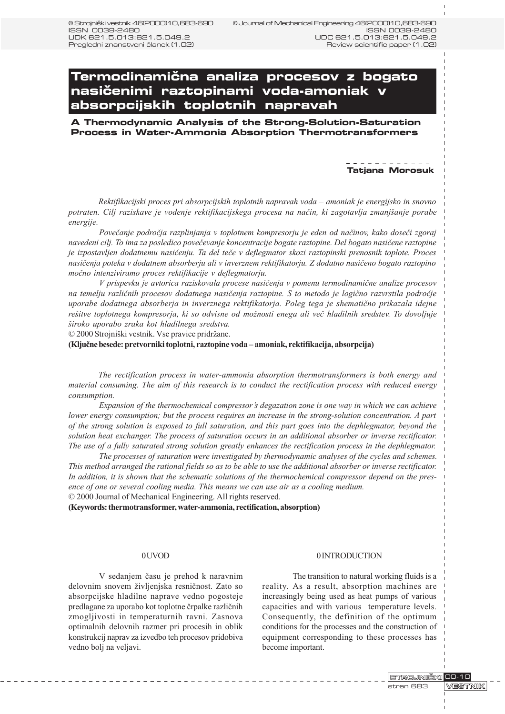# **Termodinami~na analiza procesov z bogato** nasičenimi raztopinami voda-amoniak v **absorpcijskih toplotnih napravah**

**A Thermodynamic Analysis of the Strong-Solution-Saturation Process in Water-Ammonia Absorption Thermotransformers**

#### **Tatjana Morosuk**

Rektifikacijski proces pri absorpcijskih toplotnih napravah voda – amoniak je energijsko in snovno potraten. Cilj raziskave je vodenje rektifikacijskega procesa na način, ki zagotavlja zmanjšanje porabe energije.

Povečanje področja razplinjanja v toplotnem kompresorju je eden od načinov, kako doseči zgoraj navedeni cilj. To ima za posledico poveèevanje koncentracije bogate raztopine. Del bogato nasièene raztopine je izpostavljen dodatnemu nasièenju. Ta del teèe v deflegmator skozi raztopinski prenosnik toplote. Proces nasièenja poteka v dodatnem absorberju ali v inverznem rektifikatorju. Z dodatno nasièeno bogato raztopino moèno intenziviramo proces rektifikacije v deflegmatorju.

V prispevku je avtorica raziskovala procese nasièenja v pomenu termodinamiène analize procesov na temelju razliènih procesov dodatnega nasièenja raztopine. S to metodo je logièno razvrstila podroèje uporabe dodatnega absorberja in inverznega rektifikatorja. Poleg tega je shematièno prikazala idejne rešitve toplotnega kompresorja, ki so odvisne od možnosti enega ali več hladilnih sredstev. To dovoljuje iroko uporabo zraka kot hladilnega sredstva.

© 2000 Strojniški vestnik. Vse pravice pridržane.

(Kljuène besede: pretvorniki toplotni, raztopine voda amoniak, rektifikacija, absorpcija)

The rectification process in water-ammonia absorption thermotransformers is both energy and material consuming. The aim of this research is to conduct the rectification process with reduced energy consumption.

Expansion of the thermochemical compressor's degazation zone is one way in which we can achieve lower energy consumption; but the process requires an increase in the strong-solution concentration. A part of the strong solution is exposed to full saturation, and this part goes into the dephlegmator, beyond the solution heat exchanger. The process of saturation occurs in an additional absorber or inverse rectificator. The use of a fully saturated strong solution greatly enhances the rectification process in the dephlegmator.

The processes of saturation were investigated by thermodynamic analyses of the cycles and schemes. This method arranged the rational fields so as to be able to use the additional absorber or inverse rectificator. In addition, it is shown that the schematic solutions of the thermochemical compressor depend on the presence of one or several cooling media. This means we can use air as a cooling medium. © 2000 Journal of Mechanical Engineering. All rights reserved.

(Keywords: thermotransformer, water-ammonia, rectification, absorption)

#### 0 UVOD

V sedanjem èasu je prehod k naravnim delovnim snovem življenjska resničnost. Zato so absorpcijske hladilne naprave vedno pogosteje predlagane za uporabo kot toplotne èrpalke razliènih zmogljivosti in temperaturnih ravni. Zasnova optimalnih delovnih razmer pri procesih in oblik konstrukcij naprav za izvedbo teh procesov pridobiva vedno bolj na veljavi.

### 0 INTRODUCTION

The transition to natural working fluids is a reality. As a result, absorption machines are increasingly being used as heat pumps of various capacities and with various temperature levels. Consequently, the definition of the optimum conditions for the processes and the construction of equipment corresponding to these processes has become important.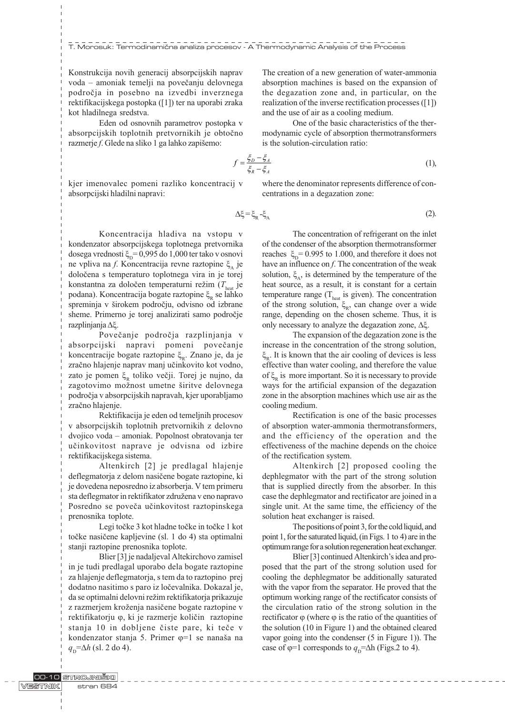T. Morosuk: Termodinamična analiza procesov - A Thermodynamic Analysis of the Process

Konstrukcija novih generacij absorpcijskih naprav voda – amoniak temelji na povečanju delovnega podroèja in posebno na izvedbi inverznega rektifikacijskega postopka ([1]) ter na uporabi zraka kot hladilnega sredstva.

Eden od osnovnih parametrov postopka v absorpcijskih toplotnih pretvornikih je obtoèno razmerje f. Glede na sliko 1 ga lahko zapišemo:

> (1),  $D \quad \blacktriangleright$ A  $R \rightarrow A$  $f = \frac{\xi_D - \xi}{\xi_R - \xi}$

and the use of air as a cooling medium.

is the solution-circulation ratio:

kjer imenovalec pomeni razliko koncentracij v absorpcijski hladilni napravi:

where the denominator represents difference of concentrations in a degazation zone:

The creation of a new generation of water-ammonia absorption machines is based on the expansion of the degazation zone and, in particular, on the realization of the inverse rectification processes ([1])

modynamic cycle of absorption thermotransformers

One of the basic characteristics of the ther-

$$
\Delta \xi = \xi_{\rm R} - \xi_{\rm A} \tag{2}
$$

Koncentracija hladiva na vstopu v kondenzator absorpcijskega toplotnega pretvornika dosega vrednosti  $\xi_{\text{D}}= 0.995$  do 1,000 ter tako v osnovi ne vpliva na f. Koncentracija revne raztopine  $\xi$ , je doloèena s temperaturo toplotnega vira in je torej konstantna za določen temperaturni režim  $(T_{\text{heat}})$ je podana). Koncentracija bogate raztopine  $\xi_{R}$  se lahko spreminja v širokem področju, odvisno od izbrane sheme. Primerno je torej analizirati samo podroèje razplinjanja  $\Delta \xi$ .

Poveèanje podroèja razplinjanja v absorpcijski napravi pomeni povečanje koncentracije bogate raztopine  $\xi_{R}$ . Znano je, da je zraèno hlajenje naprav manj uèinkovito kot vodno, zato je pomen $\xi_R$  toliko večji. Torej je nujno, da zagotovimo možnost umetne širitve delovnega podroèja v absorpcijskih napravah, kjer uporabljamo zraèno hlajenje.

Rektifikacija je eden od temeljnih procesov v absorpcijskih toplotnih pretvornikih z delovno dvojico voda - amoniak. Popolnost obratovanja ter uèinkovitost naprave je odvisna od izbire rektifikacijskega sistema.

Altenkirch [2] je predlagal hlajenje deflegmatorja z delom nasièene bogate raztopine, ki je dovedena neposredno iz absorberja. V tem primeru sta deflegmator in rektifikator združena v eno napravo Posredno se poveča učinkovitost raztopinskega prenosnika toplote.

Legi točke 3 kot hladne točke in točke 1 kot toèke nasièene kapljevine (sl. 1 do 4) sta optimalni stanji raztopine prenosnika toplote.

Blier [3] je nadaljeval Altekirchovo zamisel in je tudi predlagal uporabo dela bogate raztopine za hlajenje deflegmatorja, s tem da to raztopino prej dodatno nasitimo s paro iz loèevalnika. Dokazal je, da se optimalni delovni režim rektifikatorja prikazuje z razmerjem kroženja nasičene bogate raztopine v rektifikatorju φ, ki je razmerje količin raztopine stanja 10 in dobljene čiste pare, ki teče v kondenzator stanja 5. Primer  $\varphi=1$  se nanaša na  $q_{\rm p} = \Delta h$  (sl. 2 do 4).

The concentration of refrigerant on the inlet of the condenser of the absorption thermotransformer reaches  $\xi_{\text{D}}$  = 0.995 to 1.000, and therefore it does not have an influence on f. The concentration of the weak solution,  $\xi_{\lambda}$ , is determined by the temperature of the heat source, as a result, it is constant for a certain temperature range  $(T<sub>heat</sub>$  is given). The concentration of the strong solution,  $\xi_R$ , can change over a wide range, depending on the chosen scheme. Thus, it is only necessary to analyze the degazation zone,  $\Delta \xi$ .

The expansion of the degazation zone is the increase in the concentration of the strong solution,  $\xi_{\rm p}$ . It is known that the air cooling of devices is less effective than water cooling, and therefore the value of  $\xi_{\text{p}}$  is more important. So it is necessary to provide ways for the artificial expansion of the degazation zone in the absorption machines which use air as the cooling medium.

Rectification is one of the basic processes of absorption water-ammonia thermotransformers, and the efficiency of the operation and the effectiveness of the machine depends on the choice of the rectification system.

Altenkirch [2] proposed cooling the dephlegmator with the part of the strong solution that is supplied directly from the absorber. In this case the dephlegmator and rectificator are joined in a single unit. At the same time, the efficiency of the solution heat exchanger is raised.

The positions of point 3, for the cold liquid, and point 1, for the saturated liquid, (in Figs. 1 to 4) are in the optimum range for a solution regeneration heat exchanger.

Blier [3] continued Altenkirch's idea and proposed that the part of the strong solution used for cooling the dephlegmator be additionally saturated with the vapor from the separator. He proved that the optimum working range of the rectificator consists of the circulation ratio of the strong solution in the rectificator  $\varphi$  (where  $\varphi$  is the ratio of the quantities of the solution (10 in Figure 1) and the obtained cleared vapor going into the condenser (5 in Figure 1)). The case of  $\varphi=1$  corresponds to  $q_{\text{D}}=\Delta h$  (Figs.2 to 4).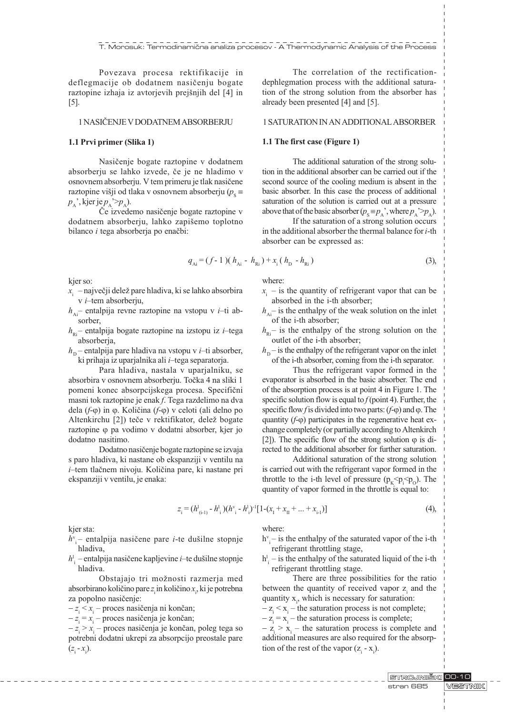Povezava procesa rektifikacije in deflegmacije ob dodatnem nasièenju bogate raztopine izhaja iz avtorjevih prejšnjih del [4] in [5].

### 1 NASIÈENJE V DODATNEM ABSORBERJU

#### 1.1 Prvi primer (Slika 1)

Nasièenje bogate raztopine v dodatnem absorberju se lahko izvede, èe je ne hladimo v osnovnem absorberju. V tem primeru je tlak nasièene raztopine višji od tlaka v osnovnem absorberju ( $p_s \equiv$  $p_{\lambda}$ ', kjer je  $p_{\lambda}$ '> $p_{\lambda}$ ).

Èe izvedemo nasièenje bogate raztopine v dodatnem absorberju, lahko zapišemo toplotno bilanco i tega absorberja po enačbi:

The correlation of the rectificationdephlegmation process with the additional saturation of the strong solution from the absorber has already been presented [4] and [5].

#### 1 SATURATION IN AN ADDITIONAL ABSORBER

#### 1.1 The first case (Figure 1)

The additional saturation of the strong solution in the additional absorber can be carried out if the second source of the cooling medium is absent in the basic absorber. In this case the process of additional saturation of the solution is carried out at a pressure above that of the basic absorber  $(p_{s} \equiv p_{\lambda})$ , where  $p_{\lambda} > p_{\lambda}$ .

If the saturation of a strong solution occurs in the additional absorber the thermal balance for i-th absorber can be expressed as:

$$
q_{Ai} = (f - 1)(h_{Ai} - h_{Ri}) + x_i(h_b - h_{Ri})
$$
\n(3),

kjer so:

- $x_i$  največji delež pare hladiva, ki se lahko absorbira  $v$  *i*-tem absorberju,
- $h_{Ai}$  entalpija revne raztopine na vstopu v *i*-ti absorber,
- $h_{\text{R}i}$  entalpija bogate raztopine na izstopu iz *i*-tega absorberja,
- $h_{\rm p}$  entalpija pare hladiva na vstopu v *i*-ti absorber, ki prihaja iz uparjalnika ali  $i$ -tega separatorja.

Para hladiva, nastala v uparjalniku, se absorbira v osnovnem absorberju. Toèka 4 na sliki 1 pomeni konec absorpcijskega procesa. Specifièni masni tok raztopine je enak f. Tega razdelimo na dva dela ( $f$ - $\varphi$ ) in  $\varphi$ . Količina ( $f$ - $\varphi$ ) v celoti (ali delno po Altenkirchu [2]) teče v rektifikator, delež bogate raztopine  $\varphi$  pa vodimo v dodatni absorber, kjer jo dodatno nasitimo.

Dodatno nasièenje bogate raztopine se izvaja s paro hladiva, ki nastane ob ekspanziji v ventilu na  $i$ -tem tlačnem nivoju. Količina pare, ki nastane pri ekspanziji v ventilu, je enaka:

where:

- $x_i$  is the quantity of refrigerant vapor that can be absorbed in the i-th absorber;
- $h_{\text{Ai}}$  is the enthalpy of the weak solution on the inlet of the i-th absorber;
- $h_{\text{R}i}$  is the enthalpy of the strong solution on the outlet of the i-th absorber;
- $h<sub>p</sub>$  is the enthalpy of the refrigerant vapor on the inlet of the i-th absorber, coming from the i-th separator.

Thus the refrigerant vapor formed in the evaporator is absorbed in the basic absorber. The end of the absorption process is at point 4 in Figure 1. The specific solution flow is equal to  $f$  (point 4). Further, the specific flow f is divided into two parts:  $(f-\varphi)$  and  $\varphi$ . The quantity  $(f-\varphi)$  participates in the regenerative heat exchange completely (or partially according to Altenkirch [2]). The specific flow of the strong solution  $\varphi$  is directed to the additional absorber for further saturation.

Additional saturation of the strong solution is carried out with the refrigerant vapor formed in the throttle to the i-th level of pressure  $(p_K \le p_i \le p_o)$ . The quantity of vapor formed in the throttle is equal to:

$$
z_{i} = (h_{(i-1)}^{1} - h_{i}^{1})(h_{i}^{v} - h_{i}^{1})^{1}[1 - (x_{i} + x_{i} + ... + x_{i-1})]
$$
\n(4),

kjer sta:

- $h^{\rm v}_{\rm i}$  entalpija nasičene pare *i*-te dušilne stopnje hladiva,
- $h_{\rm i}^{\rm l}$  entalpija nasičene kapljevine *i*–te dušilne stopnje hladiva.

Obstajajo tri možnosti razmerja med absorbirano količino pare  $z_i$ in količino  $x_i$ , ki je potrebna za popolno nasièenje:

 $-z_i \leq x_i$  – proces nasičenja ni končan;

 $-z_i = x_i$  – proces nasičenja je končan;

 $-z_i > x_i$  – proces nasičenja je končan, poleg tega so potrebni dodatni ukrepi za absorpcijo preostale pare  $(z_{i} - x_{i}).$ 

where:

- $h^{v}$ <sub>i</sub> is the enthalpy of the saturated vapor of the i-th refrigerant throttling stage,
- $h_i^l$  is the enthalpy of the saturated liquid of the i-th refrigerant throttling stage.

There are three possibilities for the ratio between the quantity of received vapor  $z_i$  and the quantity  $x_i$ , which is necessary for saturation:

 $-z_i \le x_i$  – the saturation process is not complete;

 $-z_i = x_i$  – the saturation process is complete;

 $-z_i > x_i$  – the saturation process is complete and additional measures are also required for the absorption of the rest of the vapor  $(z_i - x_i)$ .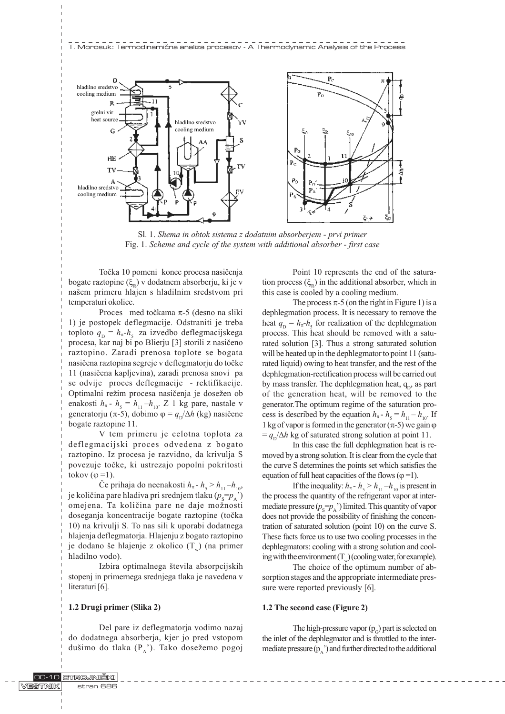

Sl. 1. Shema in obtok sistema z dodatnim absorberjem - prvi primer Fig. 1. Scheme and cycle of the system with additional absorber - first case

Toèka 10 pomeni konec procesa nasièenja bogate raztopine  $(\xi_R)$  v dodatnem absorberju, ki je v našem primeru hlajen s hladilnim sredstvom pri temperaturi okolice.

Proces med točkama  $\pi$ -5 (desno na sliki 1) je postopek deflegmacije. Odstraniti je treba toploto  $q_{\text{D}} = h_{\pi} - h_{5}$  za izvedbo deflegmacijskega procesa, kar naj bi po Blierju [3] storili z nasièeno raztopino. Zaradi prenosa toplote se bogata nasièena raztopina segreje v deflegmatorju do toèke 11 (nasièena kapljevina), zaradi prenosa snovi pa se odvije proces deflegmacije - rektifikacije. Optimalni režim procesa nasičenja je dosežen ob enakosti  $h_{\pi}$  -  $h_{5} = h_{11} - h_{10}$ . Z 1 kg pare, nastale v generatorju ( $\pi$ -5), dobimo  $\varphi = q_{\rm p}/\Delta h$  (kg) nasičene bogate raztopine 11.

V tem primeru je celotna toplota za deflegmacijski proces odvedena z bogato raztopino. Iz procesa je razvidno, da krivulja S povezuje toèke, ki ustrezajo popolni pokritosti tokov  $(\varphi =1)$ .

Če prihaja do neenakosti  $h_{\pi}$ - $h_{5}$  >  $h_{11}$ - $h_{10}$ , je količina pare hladiva pri srednjem tlaku ( $p_{\mathrm{s}}\text{=}p_{\mathrm{A}}$ ') omejena. Ta količina pare ne daje možnosti doseganja koncentracije bogate raztopine (toèka 10) na krivulji S. To nas sili k uporabi dodatnega hlajenja deflegmatorja. Hlajenju z bogato raztopino je dodano še hlajenje z okolico  $(T_w)$  (na primer hladilno vodo).

Izbira optimalnega števila absorpcijskih stopenj in primernega srednjega tlaka je navedena v literaturi [6].

## 1.2 Drugi primer (Slika 2)

Del pare iz deflegmatoria vodimo nazaj do dodatnega absorberja, kjer jo pred vstopom dušimo do tlaka  $(P_A)$ . Tako dosežemo pogoj

Point 10 represents the end of the saturation process  $(\xi_p)$  in the additional absorber, which in this case is cooled by a cooling medium.

The process  $\pi$ -5 (on the right in Figure 1) is a dephlegmation process. It is necessary to remove the heat  $q_{\text{D}} = h_{\pi} - h_{5}$  for realization of the dephlegmation process. This heat should be removed with a saturated solution [3]. Thus a strong saturated solution will be heated up in the dephlegmator to point 11 (saturated liquid) owing to heat transfer, and the rest of the dephlegmation-rectification process will be carried out by mass transfer. The dephlegmation heat,  $q<sub>p</sub>$ , as part of the generation heat, will be removed to the generator.The optimum regime of the saturation process is described by the equation  $h_{\pi}$  -  $h_{5} = h_{11} - h_{10}$ . If 1 kg of vapor is formed in the generator  $(\pi$ -5) we gain  $\varphi$  $= q_{\rm p}/\Delta h$  kg of saturated strong solution at point 11.

In this case the full dephlegmation heat is removed by a strong solution. It is clear from the cycle that the curve S determines the points set which satisfies the equation of full heat capacities of the flows ( $\varphi$  =1).

If the inequality:  $h_{\pi}$  -  $h_{5}$  >  $h_{11}$  -  $h_{10}$  is present in the process the quantity of the refrigerant vapor at intermediate pressure  $(p_s = p_A)$  limited. This quantity of vapor does not provide the possibility of finishing the concentration of saturated solution (point 10) on the curve S. These facts force us to use two cooling processes in the dephlegmators: cooling with a strong solution and cooling with the environment  $(T_u)$  (cooling water, for example).

The choice of the optimum number of absorption stages and the appropriate intermediate pressure were reported previously [6].

#### 1.2 The second case (Figure 2)

The high-pressure vapor  $(p<sub>G</sub>)$  part is selected on the inlet of the dephlegmator and is throttled to the intermediate pressure  $(p_A)$  and further directed to the additional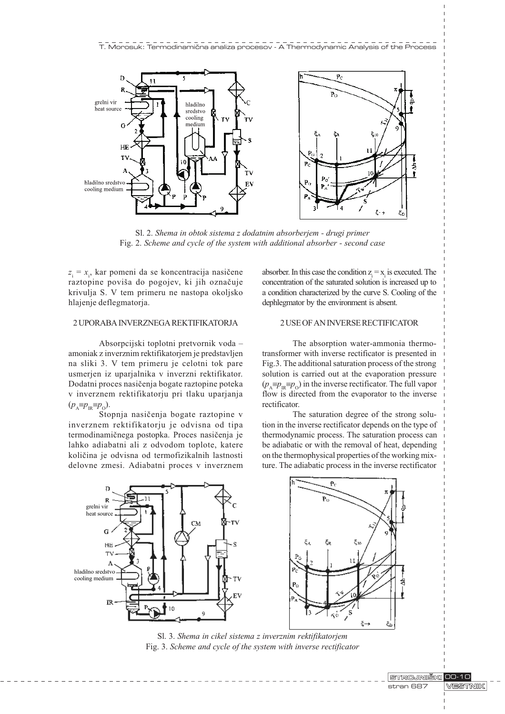

Sl. 2. Shema in obtok sistema z dodatnim absorberjem - drugi primer Fig. 2. Scheme and cycle of the system with additional absorber - second case

 $z_i = x_i$ , kar pomeni da se koncentracija nasičene raztopine poviša do pogojev, ki jih označuje krivulja S. V tem primeru ne nastopa okoljsko hlajenje deflegmatoria.

## 2 UPORABA INVERZNEGA REKTIFIKATORJA

Absorpcijski toplotni pretvornik voda amoniak z inverznim rektifikatorjem je predstavljen na sliki 3. V tem primeru je celotni tok pare usmerjen iz uparjalnika v inverzni rektifikator. Dodatni proces nasièenja bogate raztopine poteka v inverznem rektifikatorju pri tlaku uparjanja  $(p_{\text{A}} \equiv p_{\text{B}} \equiv p_{\text{A}})$ .

Stopnia nasičenia bogate raztopine v inverznem rektifikatorju je odvisna od tipa termodinamiènega postopka. Proces nasièenja je lahko adiabatni ali z odvodom toplote, katere kolièina je odvisna od termofizikalnih lastnosti delovne zmesi. Adiabatni proces v inverznem

absorber. In this case the condition  $z_i = x_i$  is executed. The concentration of the saturated solution is increased up to a condition characterized by the curve S. Cooling of the dephlegmator by the environment is absent.

## 2 USE OF AN INVERSE RECTIFICATOR

The absorption water-ammonia thermotransformer with inverse rectificator is presented in Fig.3. The additional saturation process of the strong solution is carried out at the evaporation pressure  $(p_A \equiv p_B \equiv p_O)$  in the inverse rectificator. The full vapor flow is directed from the evaporator to the inverse rectificator.

The saturation degree of the strong solution in the inverse rectificator depends on the type of thermodynamic process. The saturation process can be adiabatic or with the removal of heat, depending on the thermophysical properties of the working mixture. The adiabatic process in the inverse rectificator



Sl. 3. Shema in cikel sistema z inverznim rektifikatorjem Fig. 3. Scheme and cycle of the system with inverse rectificator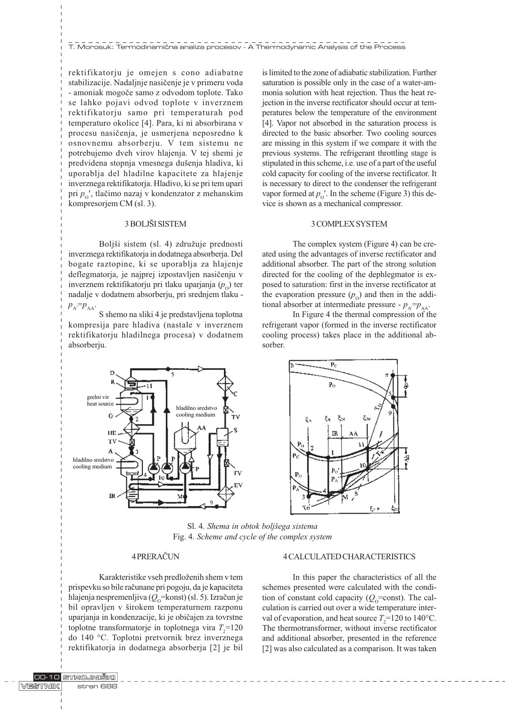rektifikatorju je omejen s cono adiabatne stabilizacije. Nadaljnje nasièenje je v primeru voda - amoniak mogoèe samo z odvodom toplote. Tako se lahko pojavi odvod toplote v inverznem rektifikatorju samo pri temperaturah pod temperaturo okolice [4]. Para, ki ni absorbirana v procesu nasièenja, je usmerjena neposredno k osnovnemu absorberju. V tem sistemu ne potrebujemo dveh virov hlajenja. V tej shemi je predvidena stopnja vmesnega dušenja hladiva, ki uporablja del hladilne kapacitete za hlajenje inverznega rektifikatorja. Hladivo, ki se pri tem upari pri  $p'_o$ , tlačimo nazaj v kondenzator z mehanskim kompresorjem CM (sl. 3).

### 3 BOLJŠI SISTEM

Boljši sistem (sl. 4) združuje prednosti inverznega rektifikatorja in dodatnega absorberja. Del bogate raztopine, ki se uporablja za hlajenje deflegmatorja, je najprej izpostavljen nasièenju v inverznem rektifikatorju pri tlaku uparjanja  $(p_0)$  ter nadalje v dodatnem absorberju, pri srednjem tlaku  $p_{A} = p_{AA}$ .

S shemo na sliki 4 je predstavljena toplotna kompresija pare hladiva (nastale v inverznem rektifikatorju hladilnega procesa) v dodatnem absorberju.

is limited to the zone of adiabatic stabilization. Further saturation is possible only in the case of a water-ammonia solution with heat rejection. Thus the heat rejection in the inverse rectificator should occur at temperatures below the temperature of the environment [4]. Vapor not absorbed in the saturation process is directed to the basic absorber. Two cooling sources are missing in this system if we compare it with the previous systems. The refrigerant throttling stage is stipulated in this scheme, i.e. use of a part of the useful cold capacity for cooling of the inverse rectificator. It is necessary to direct to the condenser the refrigerant vapor formed at  $p_0'$ . In the scheme (Figure 3) this device is shown as a mechanical compressor.

#### 3 COMPLEX SYSTEM

The complex system (Figure 4) can be created using the advantages of inverse rectificator and additional absorber. The part of the strong solution directed for the cooling of the dephlegmator is exposed to saturation: first in the inverse rectificator at the evaporation pressure  $(p_0)$  and then in the additional absorber at intermediate pressure -  $p_{\lambda} = p_{\lambda\lambda}$ .

In Figure 4 the thermal compression of the refrigerant vapor (formed in the inverse rectificator cooling process) takes place in the additional absorber.





Sl. 4. Shema in obtok bolišega sistema Fig. 4. Scheme and cycle of the complex system

#### 4 PRERAÈUN

Karakteristike vseh predloženih shem v tem prispevku so bile raèunane pri pogoju, da je kapaciteta hlajenja nespremenljiva ( $Q_0$ =konst) (sl. 5). Izračun je bil opravljen v širokem temperaturnem razponu uparjanja in kondenzacije, ki je obièajen za tovrstne toplotne transformatorje in toplotnega vira  $T_2$ =120 do 140 °C. Toplotni pretvornik brez inverznega rektifikatorja in dodatnega absorberja [2] je bil

#### 4 CALCULATED CHARACTERISTICS

In this paper the characteristics of all the schemes presented were calculated with the condition of constant cold capacity ( $Q_0$ =const). The calculation is carried out over a wide temperature interval of evaporation, and heat source  $T_2$ =120 to 140°C. The thermotransformer, without inverse rectificator and additional absorber, presented in the reference [2] was also calculated as a comparison. It was taken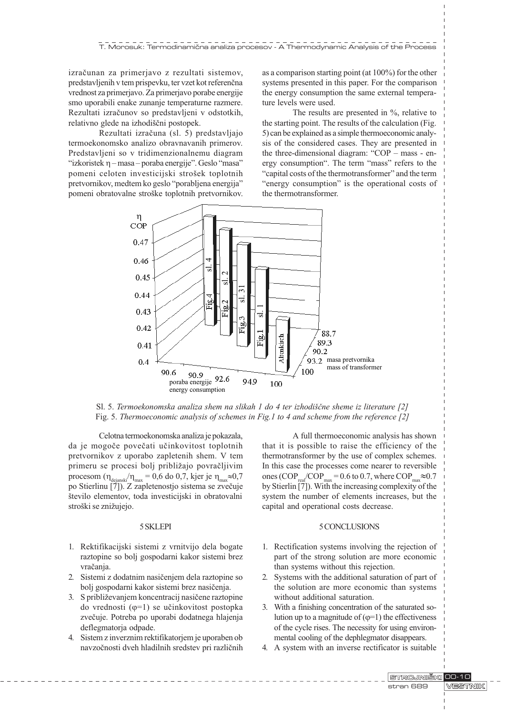izraèunan za primerjavo z rezultati sistemov, predstavljenih v tem prispevku, ter vzet kot referenèna vrednost za primerjavo. Za primerjavo porabe energije smo uporabili enake zunanje temperaturne razmere. Rezultati izraèunov so predstavljeni v odstotkih, relativno glede na izhodiščni postopek.

Rezultati izraèuna (sl. 5) predstavljajo termoekonomsko analizo obravnavanih primerov. Predstavljeni so v tridimenzionalnemu diagram "izkoristek  $\eta$  - masa - poraba energije". Geslo "masa" pomeni celoten investicijski strošek toplotnih pretvornikov, medtem ko geslo "porabljena energija" pomeni obratovalne stroške toplotnih pretvornikov. as a comparison starting point (at 100%) for the other systems presented in this paper. For the comparison the energy consumption the same external temperature levels were used.

The results are presented in %, relative to the starting point. The results of the calculation (Fig. 5) can be explained as a simple thermoeconomic analysis of the considered cases. They are presented in the three-dimensional diagram: " $COP - mass - en$ ergy consumption". The term "mass" refers to the "capital costs of the thermotransformer" and the term "energy consumption" is the operational costs of the thermotransformer.



Sl. 5. Termoekonomska analiza shem na slikah 1 do 4 ter izhodiščne sheme iz literature  $[2]$ Fig. 5. Thermoeconomic analysis of schemes in Fig.1 to 4 and scheme from the reference [2]

Celotna termoekonomska analiza je pokazala, da je mogoèe poveèati uèinkovitost toplotnih pretvornikov z uporabo zapletenih shem. V tem primeru se procesi bolj približajo povračljivim procesom ( $\eta_{\text{dejanski}}/\eta_{\text{max}} = 0.6$  do 0,7, kjer je  $\eta_{\text{max}} \approx 0.7$ po Stierlinu [7]). Z zapletenostjo sistema se zveèuje število elementov, toda investicijski in obratovalni stroški se znižujejo.

### 5 SKLEPI

- 1. Rektifikacijski sistemi z vrnitvijo dela bogate raztopine so bolj gospodarni kakor sistemi brez vračanja.
- 2. Sistemi z dodatnim nasièenjem dela raztopine so bolj gospodarni kakor sistemi brez nasièenja.
- 3. S približevanjem koncentracij nasičene raztopine do vrednosti  $(\varphi=1)$  se učinkovitost postopka zvečuje. Potreba po uporabi dodatnega hlajenja deflegmatorja odpade.
- 4. Sistem z inverznim rektifikatorjem je uporaben ob navzoènosti dveh hladilnih sredstev pri razliènih

A full thermoeconomic analysis has shown that it is possible to raise the efficiency of the thermotransformer by the use of complex schemes. In this case the processes come nearer to reversible ones (COP<sub>real</sub>/COP<sub>max</sub> = 0.6 to 0.7, where COP<sub>max</sub>  $\approx$  0.7 by Stierlin [7]). With the increasing complexity of the system the number of elements increases, but the capital and operational costs decrease.

### 5 CONCLUSIONS

- 1. Rectification systems involving the rejection of part of the strong solution are more economic than systems without this rejection.
- 2. Systems with the additional saturation of part of the solution are more economic than systems without additional saturation.
- 3. With a finishing concentration of the saturated solution up to a magnitude of  $(\varphi=1)$  the effectiveness of the cycle rises. The necessity for using environmental cooling of the dephlegmator disappears.
- 4. A system with an inverse rectificator is suitable